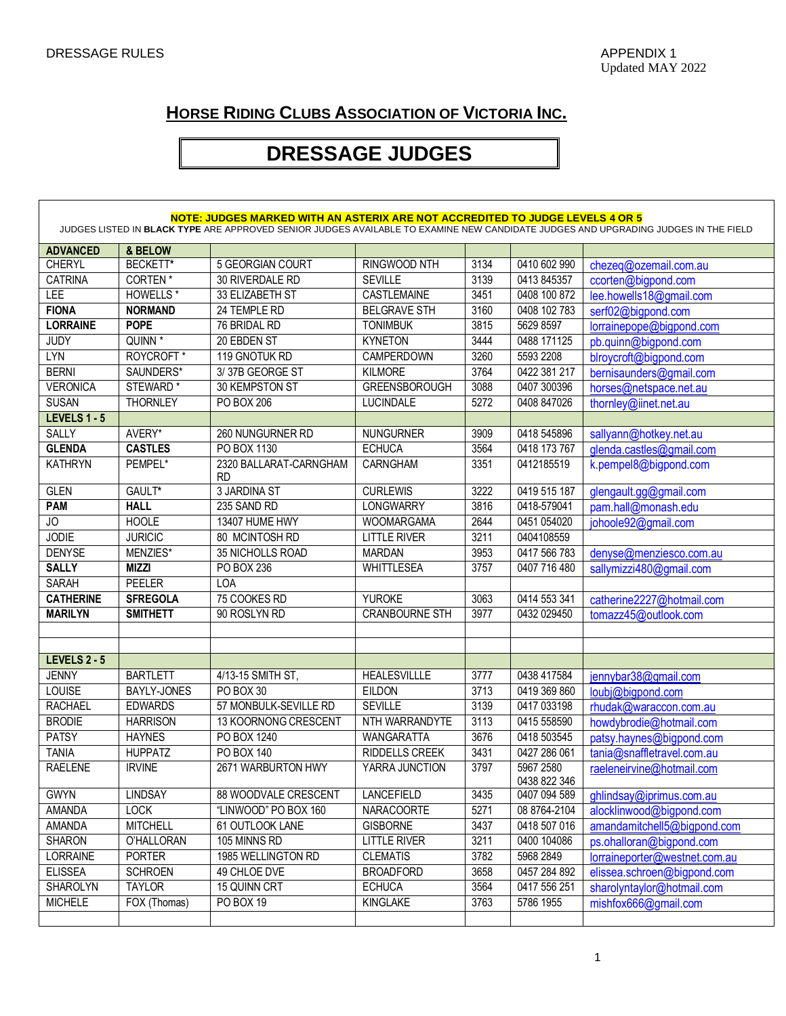## **HORSE RIDING CLUBS ASSOCIATION OF VICTORIA INC.**

## **DRESSAGE JUDGES**

| NOTE: JUDGES MARKED WITH AN ASTERIX ARE NOT ACCREDITED TO JUDGE LEVELS 4 OR 5<br>JUDGES LISTED IN BLACK TYPE ARE APPROVED SENIOR JUDGES AVAILABLE TO EXAMINE NEW CANDIDATE JUDGES AND UPGRADING JUDGES IN THE FIELD |                       |                                     |                       |      |                           |                               |  |  |  |  |
|---------------------------------------------------------------------------------------------------------------------------------------------------------------------------------------------------------------------|-----------------------|-------------------------------------|-----------------------|------|---------------------------|-------------------------------|--|--|--|--|
| <b>ADVANCED</b>                                                                                                                                                                                                     | & BELOW               |                                     |                       |      |                           |                               |  |  |  |  |
| <b>CHERYL</b>                                                                                                                                                                                                       | BECKETT*              | 5 GEORGIAN COURT                    | RINGWOOD NTH          | 3134 | 0410 602 990              | chezeq@ozemail.com.au         |  |  |  |  |
| <b>CATRINA</b>                                                                                                                                                                                                      | <b>CORTEN*</b>        | 30 RIVERDALE RD                     | <b>SEVILLE</b>        | 3139 | 0413 845357               | ccorten@bigpond.com           |  |  |  |  |
| LEE                                                                                                                                                                                                                 | <b>HOWELLS*</b>       | 33 ELIZABETH ST                     | CASTLEMAINE           | 3451 | 0408 100 872              | lee.howells18@gmail.com       |  |  |  |  |
| <b>FIONA</b>                                                                                                                                                                                                        | <b>NORMAND</b>        | 24 TEMPLE RD                        | <b>BELGRAVE STH</b>   | 3160 | 0408 102 783              | serf02@bigpond.com            |  |  |  |  |
| <b>LORRAINE</b>                                                                                                                                                                                                     | <b>POPE</b>           | 76 BRIDAL RD                        | <b>TONIMBUK</b>       | 3815 | 5629 8597                 | lorrainepope@bigpond.com      |  |  |  |  |
| <b>JUDY</b>                                                                                                                                                                                                         | QUINN <sup>*</sup>    | 20 EBDEN ST                         | <b>KYNETON</b>        | 3444 | 0488 171125               | pb.quinn@bigpond.com          |  |  |  |  |
| <b>LYN</b>                                                                                                                                                                                                          | ROYCROFT <sup>*</sup> | 119 GNOTUK RD                       | CAMPERDOWN            | 3260 | 5593 2208                 | blroycroft@bigpond.com        |  |  |  |  |
| <b>BERNI</b>                                                                                                                                                                                                        | SAUNDERS*             | 3/37B GEORGE ST                     | <b>KILMORE</b>        | 3764 | 0422 381 217              | bernisaunders@gmail.com       |  |  |  |  |
| <b>VERONICA</b>                                                                                                                                                                                                     | STEWARD <sup>*</sup>  | 30 KEMPSTON ST                      | <b>GREENSBOROUGH</b>  | 3088 | 0407 300396               | horses@netspace.net.au        |  |  |  |  |
| <b>SUSAN</b>                                                                                                                                                                                                        | <b>THORNLEY</b>       | PO BOX 206                          | <b>LUCINDALE</b>      | 5272 | 0408 847026               | thornley@iinet.net.au         |  |  |  |  |
| LEVELS 1 - 5                                                                                                                                                                                                        |                       |                                     |                       |      |                           |                               |  |  |  |  |
| <b>SALLY</b>                                                                                                                                                                                                        | AVERY*                | 260 NUNGURNER RD                    | <b>NUNGURNER</b>      | 3909 | 0418 545896               | sallyann@hotkey.net.au        |  |  |  |  |
| <b>GLENDA</b>                                                                                                                                                                                                       | <b>CASTLES</b>        | PO BOX 1130                         | <b>ECHUCA</b>         | 3564 | 0418 173 767              | glenda.castles@gmail.com      |  |  |  |  |
| <b>KATHRYN</b>                                                                                                                                                                                                      | PEMPEL*               | 2320 BALLARAT-CARNGHAM<br><b>RD</b> | <b>CARNGHAM</b>       | 3351 | 0412185519                | k.pempel8@bigpond.com         |  |  |  |  |
| <b>GLEN</b>                                                                                                                                                                                                         | GAULT*                | <b>3 JARDINA ST</b>                 | <b>CURLEWIS</b>       | 3222 | 0419 515 187              | glengault.gg@gmail.com        |  |  |  |  |
| <b>PAM</b>                                                                                                                                                                                                          | <b>HALL</b>           | 235 SAND RD                         | <b>LONGWARRY</b>      | 3816 | 0418-579041               | pam.hall@monash.edu           |  |  |  |  |
| JO                                                                                                                                                                                                                  | <b>HOOLE</b>          | 13407 HUME HWY                      | <b>WOOMARGAMA</b>     | 2644 | 0451 054020               | johoole92@gmail.com           |  |  |  |  |
| <b>JODIE</b>                                                                                                                                                                                                        | <b>JURICIC</b>        | 80 MCINTOSH RD                      | <b>LITTLE RIVER</b>   | 3211 | 0404108559                |                               |  |  |  |  |
| <b>DENYSE</b>                                                                                                                                                                                                       | MENZIES*              | 35 NICHOLLS ROAD                    | <b>MARDAN</b>         | 3953 | 0417 566 783              | denyse@menziesco.com.au       |  |  |  |  |
| <b>SALLY</b>                                                                                                                                                                                                        | <b>MIZZI</b>          | PO BOX 236                          | <b>WHITTLESEA</b>     | 3757 | 0407 716 480              | sallymizzi480@gmail.com       |  |  |  |  |
| <b>SARAH</b>                                                                                                                                                                                                        | <b>PEELER</b>         | <b>LOA</b>                          |                       |      |                           |                               |  |  |  |  |
| <b>CATHERINE</b>                                                                                                                                                                                                    | <b>SFREGOLA</b>       | 75 COOKES RD                        | <b>YUROKE</b>         | 3063 | 0414 553 341              | catherine2227@hotmail.com     |  |  |  |  |
| <b>MARILYN</b>                                                                                                                                                                                                      | <b>SMITHETT</b>       | 90 ROSLYN RD                        | <b>CRANBOURNE STH</b> | 3977 | 0432 029450               | tomazz45@outlook.com          |  |  |  |  |
|                                                                                                                                                                                                                     |                       |                                     |                       |      |                           |                               |  |  |  |  |
|                                                                                                                                                                                                                     |                       |                                     |                       |      |                           |                               |  |  |  |  |
| <b>LEVELS 2 - 5</b>                                                                                                                                                                                                 |                       |                                     |                       |      |                           |                               |  |  |  |  |
| <b>JENNY</b>                                                                                                                                                                                                        | <b>BARTLETT</b>       | 4/13-15 SMITH ST,                   | <b>HEALESVILLLE</b>   | 3777 | 0438 417584               | jennybar38@gmail.com          |  |  |  |  |
| <b>LOUISE</b>                                                                                                                                                                                                       | <b>BAYLY-JONES</b>    | <b>PO BOX 30</b>                    | <b>EILDON</b>         | 3713 | 0419 369 860              | loubj@bigpond.com             |  |  |  |  |
| <b>RACHAEL</b>                                                                                                                                                                                                      | <b>EDWARDS</b>        | 57 MONBULK-SEVILLE RD               | <b>SEVILLE</b>        | 3139 | 0417 033198               | rhudak@waraccon.com.au        |  |  |  |  |
| <b>BRODIE</b>                                                                                                                                                                                                       | <b>HARRISON</b>       | 13 KOORNONG CRESCENT                | NTH WARRANDYTE        | 3113 | 0415 558590               | howdybrodie@hotmail.com       |  |  |  |  |
| <b>PATSY</b>                                                                                                                                                                                                        | <b>HAYNES</b>         | PO BOX 1240                         | <b>WANGARATTA</b>     | 3676 | 0418 503545               | patsy.haynes@bigpond.com      |  |  |  |  |
| <b>TANIA</b>                                                                                                                                                                                                        | <b>HUPPATZ</b>        | <b>PO BOX 140</b>                   | <b>RIDDELLS CREEK</b> | 3431 | 0427 286 061              | tania@snaffletravel.com.au    |  |  |  |  |
| <b>RAELENE</b>                                                                                                                                                                                                      | <b>IRVINE</b>         | 2671 WARBURTON HWY                  | YARRA JUNCTION        | 3797 | 5967 2580<br>0438 822 346 | raeleneirvine@hotmail.com     |  |  |  |  |
| <b>GWYN</b>                                                                                                                                                                                                         | <b>LINDSAY</b>        | 88 WOODVALE CRESCENT                | LANCEFIELD            | 3435 | 0407 094 589              | ghlindsay@iprimus.com.au      |  |  |  |  |
| AMANDA                                                                                                                                                                                                              | <b>LOCK</b>           | "LINWOOD" PO BOX 160                | <b>NARACOORTE</b>     | 5271 | 08 8764-2104              | alocklinwood@bigpond.com      |  |  |  |  |
| AMANDA                                                                                                                                                                                                              | <b>MITCHELL</b>       | 61 OUTLOOK LANE                     | <b>GISBORNE</b>       | 3437 | 0418 507 016              | amandamitchell5@bigpond.com   |  |  |  |  |
| <b>SHARON</b>                                                                                                                                                                                                       | O'HALLORAN            | 105 MINNS RD                        | <b>LITTLE RIVER</b>   | 3211 | 0400 104086               | ps.ohalloran@bigpond.com      |  |  |  |  |
| LORRAINE                                                                                                                                                                                                            | <b>PORTER</b>         | 1985 WELLINGTON RD                  | <b>CLEMATIS</b>       | 3782 | 5968 2849                 | lorraineporter@westnet.com.au |  |  |  |  |
| <b>ELISSEA</b>                                                                                                                                                                                                      | <b>SCHROEN</b>        | 49 CHLOE DVE                        | <b>BROADFORD</b>      | 3658 | 0457 284 892              | elissea.schroen@bigpond.com   |  |  |  |  |
| SHAROLYN                                                                                                                                                                                                            | <b>TAYLOR</b>         | 15 QUINN CRT                        | <b>ECHUCA</b>         | 3564 | 0417 556 251              | sharolyntaylor@hotmail.com    |  |  |  |  |
| <b>MICHELE</b>                                                                                                                                                                                                      | FOX (Thomas)          | PO BOX 19                           | KINGLAKE              | 3763 | 5786 1955                 | mishfox666@gmail.com          |  |  |  |  |
|                                                                                                                                                                                                                     |                       |                                     |                       |      |                           |                               |  |  |  |  |